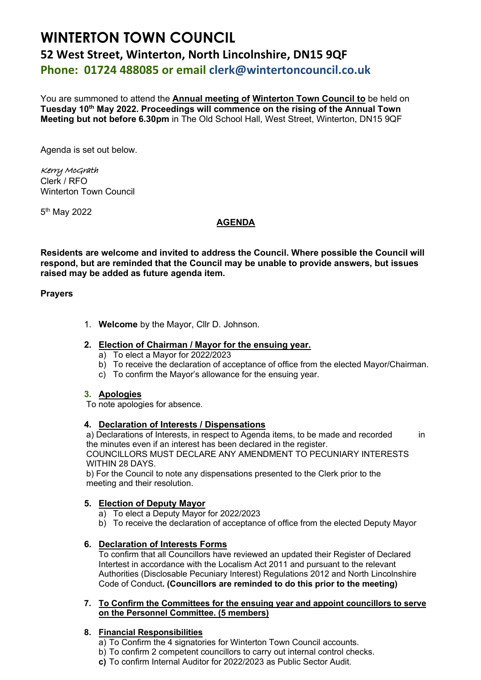# **WINTERTON TOWN COUNCIL 52 West Street, Winterton, North Lincolnshire, DN15 9QF Phone: 01724 488085 or email clerk@wintertoncouncil.co.uk**

You are summoned to attend the **Annual meeting of Winterton Town Council to** be held on **Tuesday 10th May 2022. Proceedings will commence on the rising of the Annual Town Meeting but not before 6.30pm** in The Old School Hall, West Street, Winterton, DN15 9QF

Agenda is set out below.

Kerry McGrath Clerk / RFO Winterton Town Council

5<sup>th</sup> May 2022

## **AGENDA**

**Residents are welcome and invited to address the Council. Where possible the Council will respond, but are reminded that the Council may be unable to provide answers, but issues raised may be added as future agenda item.**

## **Prayers**

1. **Welcome** by the Mayor, Cllr D. Johnson.

## **2. Election of Chairman / Mayor for the ensuing year.**

- a) To elect a Mayor for 2022/2023
- b) To receive the declaration of acceptance of office from the elected Mayor/Chairman.
- c) To confirm the Mayor's allowance for the ensuing year.

#### **3. Apologies**

To note apologies for absence.

#### **4. Declaration of Interests / Dispensations**

a) Declarations of Interests, in respect to Agenda items, to be made and recorded in the minutes even if an interest has been declared in the register. COUNCILLORS MUST DECLARE ANY AMENDMENT TO PECUNIARY INTERESTS WITHIN 28 DAYS.

b) For the Council to note any dispensations presented to the Clerk prior to the meeting and their resolution.

# **5. Election of Deputy Mayor**

- a) To elect a Deputy Mayor for 2022/2023
- b) To receive the declaration of acceptance of office from the elected Deputy Mayor

# **6. Declaration of Interests Forms**

To confirm that all Councillors have reviewed an updated their Register of Declared Intertest in accordance with the Localism Act 2011 and pursuant to the relevant Authorities (Disclosable Pecuniary Interest) Regulations 2012 and North Lincolnshire Code of Conduct**. (Councillors are reminded to do this prior to the meeting)**

#### **7. To Confirm the Committees for the ensuing year and appoint councillors to serve on the Personnel Committee. (5 members)**

# **8. Financial Responsibilities**

- a) To Confirm the 4 signatories for Winterton Town Council accounts.
- b) To confirm 2 competent councillors to carry out internal control checks.
- **c)** To confirm Internal Auditor for 2022/2023 as Public Sector Audit.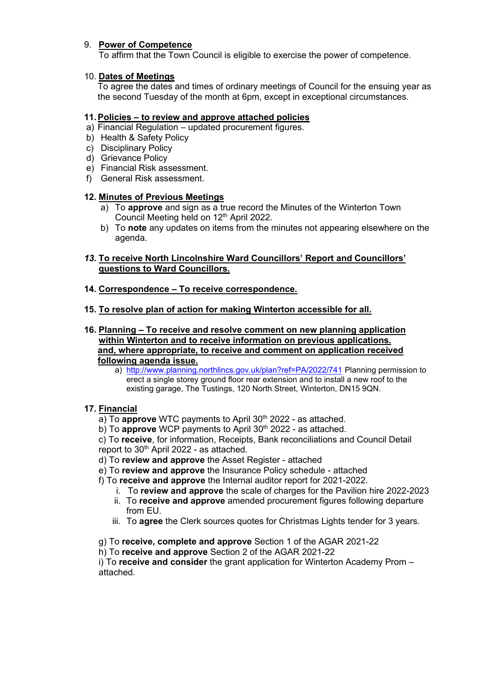# 9. **Power of Competence**

To affirm that the Town Council is eligible to exercise the power of competence.

## 10. **Dates of Meetings**

To agree the dates and times of ordinary meetings of Council for the ensuing year as the second Tuesday of the month at 6pm, except in exceptional circumstances.

# **11.Policies – to review and approve attached policies**

- a) Financial Regulation updated procurement figures.
- b) Health & Safety Policy
- c) Disciplinary Policy
- d) Grievance Policy
- e) Financial Risk assessment.
- f) General Risk assessment.

## **12. Minutes of Previous Meetings**

- a) To **approve** and sign as a true record the Minutes of the Winterton Town Council Meeting held on 12<sup>th</sup> April 2022.
- b) To **note** any updates on items from the minutes not appearing elsewhere on the agenda.

# *13.* **To receive North Lincolnshire Ward Councillors' Report and Councillors' questions to Ward Councillors.**

## **14. Correspondence – To receive correspondence.**

**15. To resolve plan of action for making Winterton accessible for all.**

## **16. Planning – To receive and resolve comment on new planning application within Winterton and to receive information on previous applications. and, where appropriate, to receive and comment on application received following agenda issue.**

a) [http://www.planning.northlincs.gov.uk/plan?ref=PA/2022/741](https://gbr01.safelinks.protection.outlook.com/?url=http%3A%2F%2Fwww.planning.northlincs.gov.uk%2Fplan%3Fref%3DPA%2F2022%2F741&data=05%7C01%7Crfo%40wintertoncouncil.co.uk%7C40fa0d7387374abcc8aa08da2840a841%7C1901833ec75843e2a83efb7032ea34cb%7C0%7C0%7C637866555406194810%7CUnknown%7CTWFpbGZsb3d8eyJWIjoiMC4wLjAwMDAiLCJQIjoiV2luMzIiLCJBTiI6Ik1haWwiLCJXVCI6Mn0%3D%7C3000%7C%7C%7C&sdata=AK2S5NorDKKFMEx%2FL3lIJqlJZYGlqGS%2Bz6PQAFQvbpc%3D&reserved=0) Planning permission to erect a single storey ground floor rear extension and to install a new roof to the existing garage, The Tustings, 120 North Street, Winterton, DN15 9QN.

# **17. Financial**

a) To **approve** WTC payments to April 30<sup>th</sup> 2022 - as attached.

b) To **approve** WCP payments to April 30<sup>th</sup> 2022 - as attached.

c) To **receive**, for information, Receipts, Bank reconciliations and Council Detail report to 30<sup>th</sup> April 2022 - as attached.

- d) To **review and approve** the Asset Register attached
- e) To **review and approve** the Insurance Policy schedule attached
- f) To **receive and approve** the Internal auditor report for 2021-2022.
	- i. To **review and approve** the scale of charges for the Pavilion hire 2022-2023
	- ii. To **receive and approve** amended procurement figures following departure from EU.
	- iii. To **agree** the Clerk sources quotes for Christmas Lights tender for 3 years.

g) To **receive, complete and approve** Section 1 of the AGAR 2021-22

h) To **receive and approve** Section 2 of the AGAR 2021-22

i) To **receive and consider** the grant application for Winterton Academy Prom – attached.